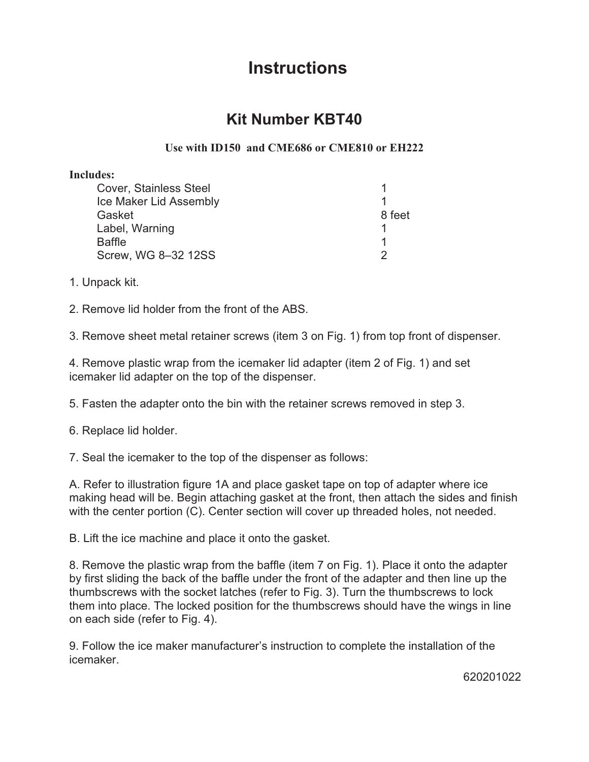## **Instructions Instructions**

## **Kit Number KBT40 Kit Number KBT40**

## **Use with ID150 and CME686 or CME810 or EH222**

## **Includes:**

| <b>Cover, Stainless Steel</b> |        |
|-------------------------------|--------|
| Ice Maker Lid Assembly        |        |
| Gasket                        | 8 feet |
| Label, Warning                |        |
| Baffle                        |        |
| Screw, WG 8-32 12SS           |        |

1. Unpack kit.

2. Remove lid holder from the front of the ABS.

3. Remove sheet metal retainer screws (item 3 on Fig. 1) from top front of dispenser.

4. Remove plastic wrap from the icemaker lid adapter (item 2 of Fig. 1) and set icemaker lid adapter on the top of the dispenser.

5. Fasten the adapter onto the bin with the retainer screws removed in step 3.

6. Replace lid holder.

7. Seal the icemaker to the top of the dispenser as follows:

A. Refer to illustration figure 1A and place gasket tape on top of adapter where ice making head will be. Begin attaching gasket at the front, then attach the sides and finish with the center portion (C). Center section will cover up threaded holes, not needed.

B. Lift the ice machine and place it onto the gasket.

8. Remove the plastic wrap from the baffle (item 7 on Fig. 1). Place it onto the adapter by first sliding the back of the baffle under the front of the adapter and then line up the thumbscrews with the socket latches (refer to Fig. 3). Turn the thumbscrews to lock them into place. The locked position for the thumbscrews should have the wings in line on each side (refer to Fig. 4).

9. Follow the ice maker manufacturer's instruction to complete the installation of the icemaker.

620201022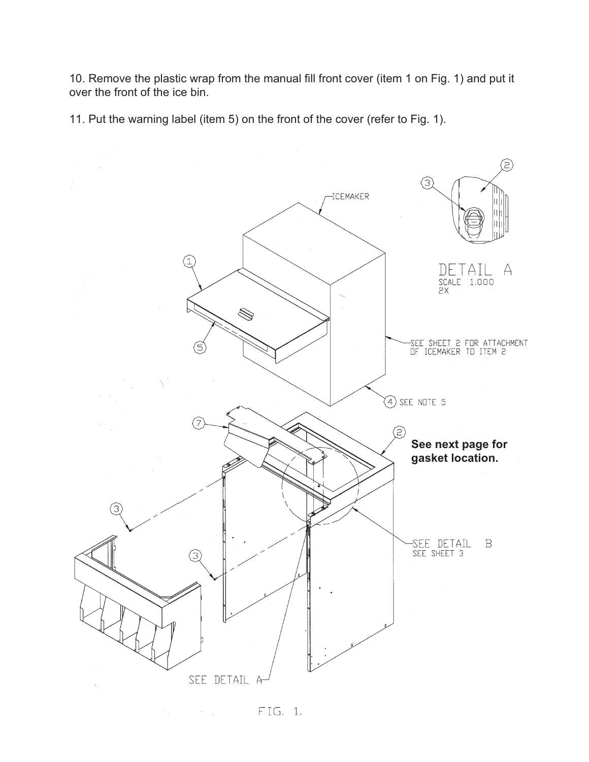10. Remove the plastic wrap from the manual fill front cover (item 1 on Fig. 1) and put it over the front of the ice bin.

11. Put the warning label (item 5) on the front of the cover (refer to Fig. 1).



FIG. 1.  $\sim$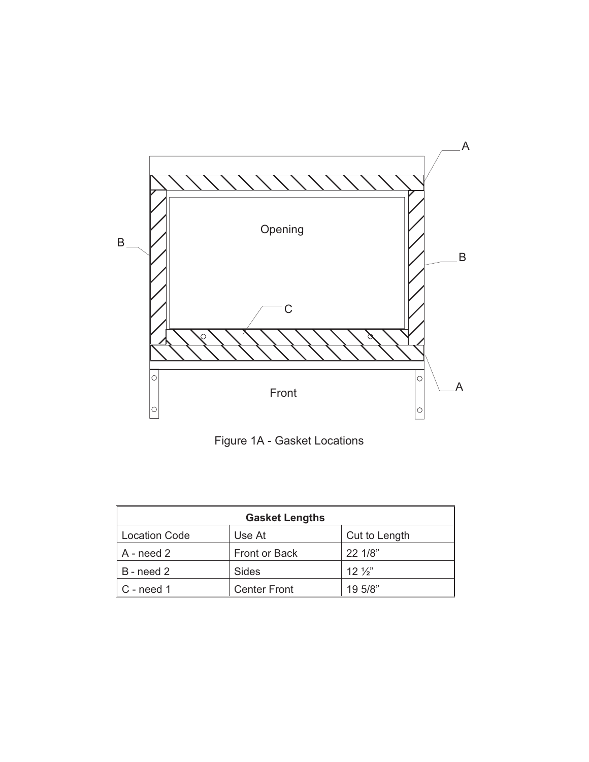

Figure 1A - Gasket Locations

| <b>Gasket Lengths</b> |                     |                 |
|-----------------------|---------------------|-----------------|
| <b>Location Code</b>  | Use At              | Cut to Length   |
| A - need 2            | Front or Back       | 22 1/8"         |
| B - need 2            | Sides               | $12\frac{1}{2}$ |
| C - need 1            | <b>Center Front</b> | 19 5/8"         |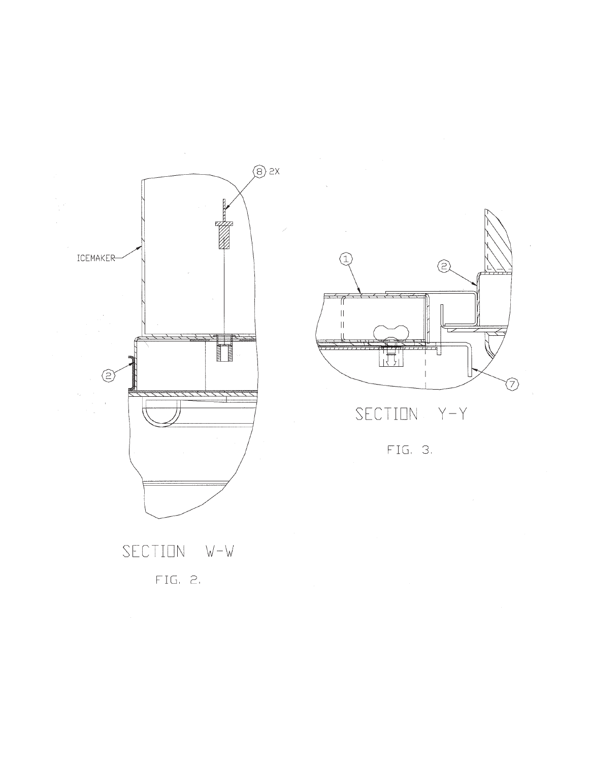





SECTION  $Y - Y$ 

FIG. 3.